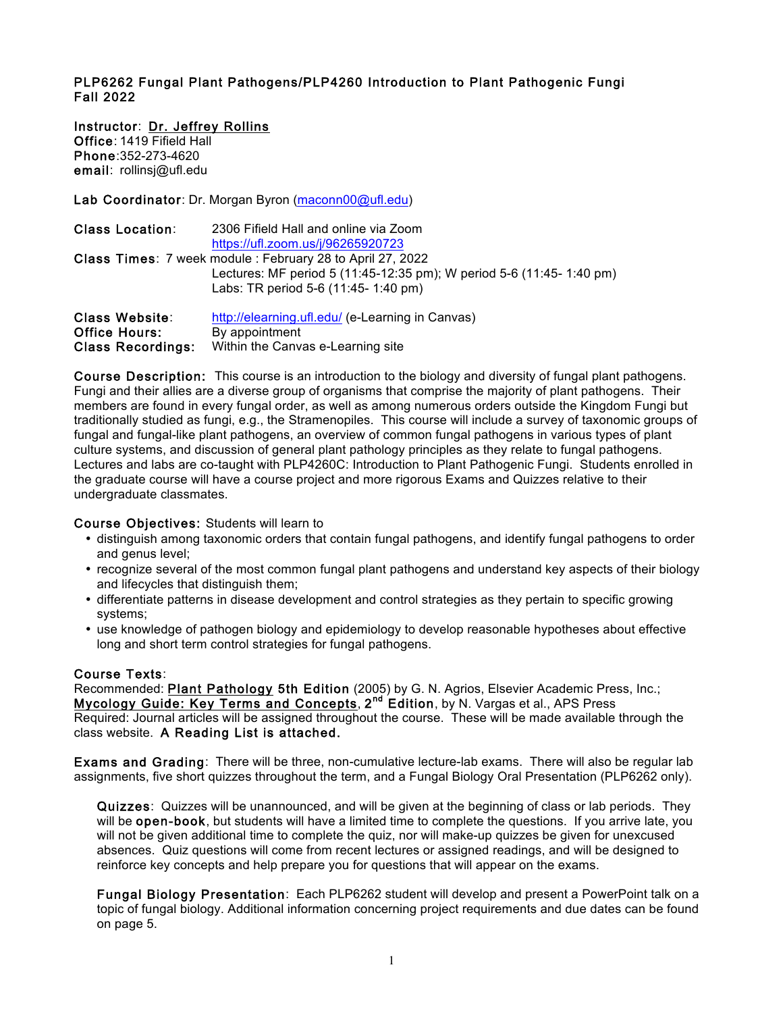### PLP6262 Fungal Plant Pathogens/PLP4260 Introduction to Plant Pathogenic Fungi Fall 2022

Instructor: Dr. Jeffrey Rollins Office: 1419 Fifield Hall Phone:352-273-4620 email: rollinsj@ufl.edu

Lab Coordinator: Dr. Morgan Byron (maconn00@ufl.edu)

| <b>Class Location:</b>                                             | 2306 Fifield Hall and online via Zoom<br>https://ufl.zoom.us/j/96265920723                                                                                               |
|--------------------------------------------------------------------|--------------------------------------------------------------------------------------------------------------------------------------------------------------------------|
|                                                                    | Class Times: 7 week module: February 28 to April 27, 2022<br>Lectures: MF period 5 (11:45-12:35 pm); W period 5-6 (11:45-1:40 pm)<br>Labs: TR period 5-6 (11:45-1:40 pm) |
| Class Website:<br><b>Office Hours:</b><br><b>Class Recordings:</b> | http://elearning.ufl.edu/ (e-Learning in Canvas)<br>By appointment<br>Within the Canvas e-Learning site                                                                  |

Course Description: This course is an introduction to the biology and diversity of fungal plant pathogens. Fungi and their allies are a diverse group of organisms that comprise the majority of plant pathogens. Their members are found in every fungal order, as well as among numerous orders outside the Kingdom Fungi but traditionally studied as fungi, e.g., the Stramenopiles. This course will include a survey of taxonomic groups of fungal and fungal-like plant pathogens, an overview of common fungal pathogens in various types of plant culture systems, and discussion of general plant pathology principles as they relate to fungal pathogens. Lectures and labs are co-taught with PLP4260C: Introduction to Plant Pathogenic Fungi. Students enrolled in the graduate course will have a course project and more rigorous Exams and Quizzes relative to their undergraduate classmates.

#### Course Objectives: Students will learn to

- distinguish among taxonomic orders that contain fungal pathogens, and identify fungal pathogens to order and genus level;
- recognize several of the most common fungal plant pathogens and understand key aspects of their biology and lifecycles that distinguish them;
- differentiate patterns in disease development and control strategies as they pertain to specific growing systems;
- use knowledge of pathogen biology and epidemiology to develop reasonable hypotheses about effective long and short term control strategies for fungal pathogens.

#### Course Texts:

Recommended: Plant Pathology 5th Edition (2005) by G. N. Agrios, Elsevier Academic Press, Inc.; Mycology Guide: Key Terms and Concepts, 2<sup>nd</sup> Edition, by N. Vargas et al., APS Press Required: Journal articles will be assigned throughout the course. These will be made available through the class website. A Reading List is attached.

Exams and Grading: There will be three, non-cumulative lecture-lab exams. There will also be regular lab assignments, five short quizzes throughout the term, and a Fungal Biology Oral Presentation (PLP6262 only).

Quizzes: Quizzes will be unannounced, and will be given at the beginning of class or lab periods. They will be **open-book**, but students will have a limited time to complete the questions. If you arrive late, you will not be given additional time to complete the quiz, nor will make-up quizzes be given for unexcused absences. Quiz questions will come from recent lectures or assigned readings, and will be designed to reinforce key concepts and help prepare you for questions that will appear on the exams.

Fungal Biology Presentation: Each PLP6262 student will develop and present a PowerPoint talk on a topic of fungal biology. Additional information concerning project requirements and due dates can be found on page 5.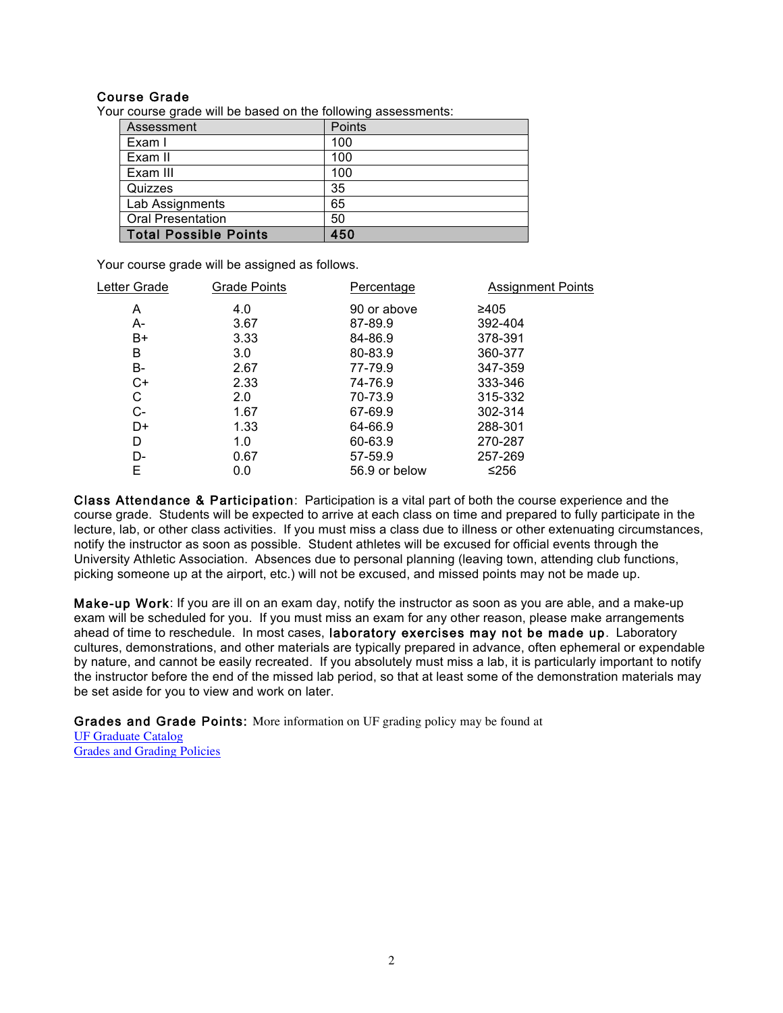# Course Grade

Your course grade will be based on the following assessments:

| Assessment                   | Points |
|------------------------------|--------|
| Exam I                       | 100    |
| Exam II                      | 100    |
| Exam III                     | 100    |
| Quizzes                      | 35     |
| Lab Assignments              | 65     |
| <b>Oral Presentation</b>     | 50     |
| <b>Total Possible Points</b> | 450    |

Your course grade will be assigned as follows.

| Letter Grade | Grade Points | Percentage    | <b>Assignment Points</b> |
|--------------|--------------|---------------|--------------------------|
| A            | 4.0          | 90 or above   | ≥405                     |
| А-           | 3.67         | 87-89.9       | 392-404                  |
| B+           | 3.33         | 84-86.9       | 378-391                  |
| B            | 3.0          | 80-83.9       | 360-377                  |
| B-           | 2.67         | 77-79.9       | 347-359                  |
| C+           | 2.33         | 74-76.9       | 333-346                  |
| C            | 2.0          | 70-73.9       | 315-332                  |
| C-           | 1.67         | 67-69.9       | 302-314                  |
| D+           | 1.33         | 64-66.9       | 288-301                  |
| D            | 1.0          | 60-63.9       | 270-287                  |
| D-           | 0.67         | 57-59.9       | 257-269                  |
| Е            | 0.0          | 56.9 or below | ≤256                     |
|              |              |               |                          |

Class Attendance & Participation: Participation is a vital part of both the course experience and the course grade. Students will be expected to arrive at each class on time and prepared to fully participate in the lecture, lab, or other class activities. If you must miss a class due to illness or other extenuating circumstances, notify the instructor as soon as possible. Student athletes will be excused for official events through the University Athletic Association. Absences due to personal planning (leaving town, attending club functions, picking someone up at the airport, etc.) will not be excused, and missed points may not be made up.

Make-up Work: If you are ill on an exam day, notify the instructor as soon as you are able, and a make-up exam will be scheduled for you. If you must miss an exam for any other reason, please make arrangements ahead of time to reschedule. In most cases, laboratory exercises may not be made up. Laboratory cultures, demonstrations, and other materials are typically prepared in advance, often ephemeral or expendable by nature, and cannot be easily recreated. If you absolutely must miss a lab, it is particularly important to notify the instructor before the end of the missed lab period, so that at least some of the demonstration materials may be set aside for you to view and work on later.

Grades and Grade Points: More information on UF grading policy may be found at UF Graduate Catalog Grades and Grading Policies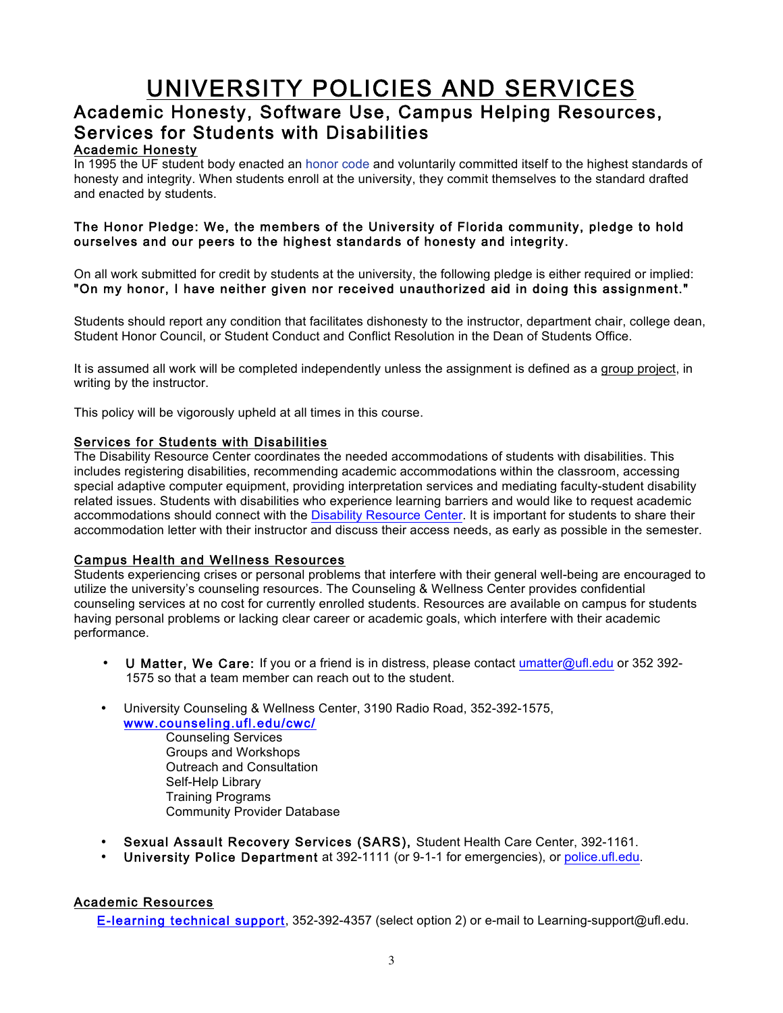# UNIVERSITY POLICIES AND SERVICES Academic Honesty, Software Use, Campus Helping Resources, Services for Students with Disabilities

# Academic Honesty

In 1995 the UF student body enacted an honor code and voluntarily committed itself to the highest standards of honesty and integrity. When students enroll at the university, they commit themselves to the standard drafted and enacted by students.

# The Honor Pledge: We, the members of the University of Florida community, pledge to hold ourselves and our peers to the highest standards of honesty and integrity.

On all work submitted for credit by students at the university, the following pledge is either required or implied: "On my honor, I have neither given nor received unauthorized aid in doing this assignment."

Students should report any condition that facilitates dishonesty to the instructor, department chair, college dean, Student Honor Council, or Student Conduct and Conflict Resolution in the Dean of Students Office.

It is assumed all work will be completed independently unless the assignment is defined as a group project, in writing by the instructor.

This policy will be vigorously upheld at all times in this course.

#### Services for Students with Disabilities

The Disability Resource Center coordinates the needed accommodations of students with disabilities. This includes registering disabilities, recommending academic accommodations within the classroom, accessing special adaptive computer equipment, providing interpretation services and mediating faculty-student disability related issues. Students with disabilities who experience learning barriers and would like to request academic accommodations should connect with the Disability Resource Center. It is important for students to share their accommodation letter with their instructor and discuss their access needs, as early as possible in the semester.

#### Campus Health and Wellness Resources

Students experiencing crises or personal problems that interfere with their general well-being are encouraged to utilize the university's counseling resources. The Counseling & Wellness Center provides confidential counseling services at no cost for currently enrolled students. Resources are available on campus for students having personal problems or lacking clear career or academic goals, which interfere with their academic performance.

- U Matter, We Care: If you or a friend is in distress, please contact umatter@ufl.edu or 352 392- 1575 so that a team member can reach out to the student.
- University Counseling & Wellness Center, 3190 Radio Road, 352-392-1575, www.counseling.ufl.edu/cwc/
	- Counseling Services Groups and Workshops Outreach and Consultation Self-Help Library Training Programs Community Provider Database
- Sexual Assault Recovery Services (SARS), Student Health Care Center, 392-1161.
- University Police Department at 392-1111 (or 9-1-1 for emergencies), or police.ufl.edu.

# Academic Resources

E-learning technical support, 352-392-4357 (select option 2) or e-mail to Learning-support@ufl.edu.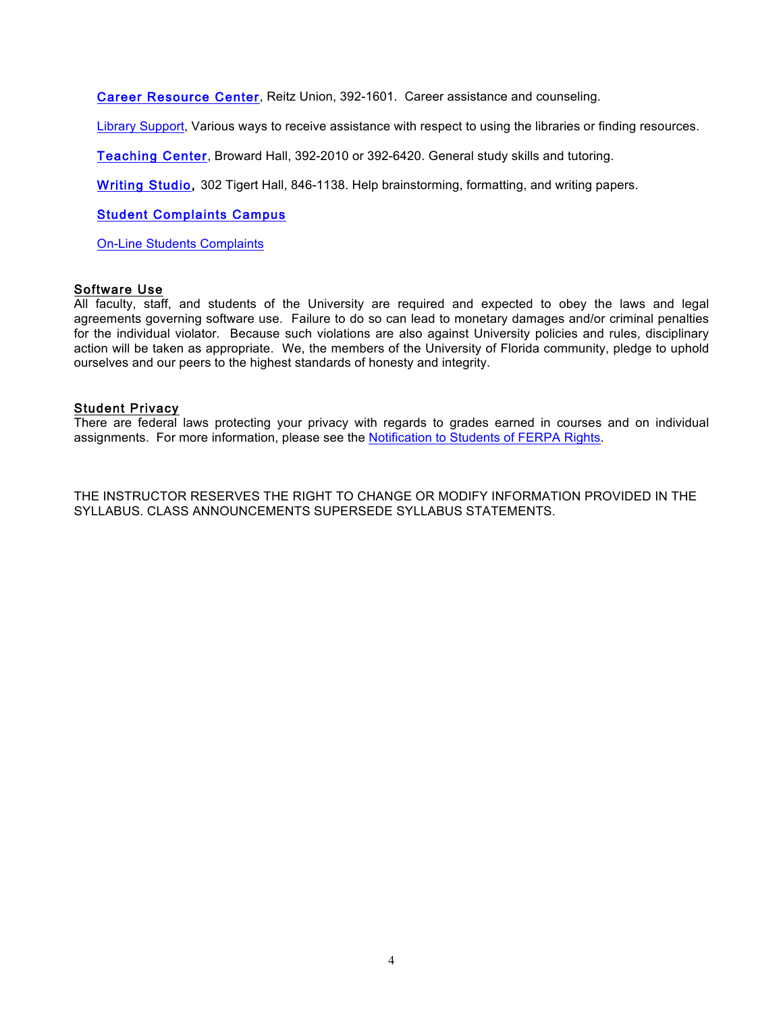Career Resource Center, Reitz Union, 392-1601. Career assistance and counseling.

Library Support, Various ways to receive assistance with respect to using the libraries or finding resources.

Teaching Center, Broward Hall, 392-2010 or 392-6420. General study skills and tutoring.

Writing Studio, 302 Tigert Hall, 846-1138. Help brainstorming, formatting, and writing papers.

Student Complaints Campus

On-Line Students Complaints

#### Software Use

All faculty, staff, and students of the University are required and expected to obey the laws and legal agreements governing software use. Failure to do so can lead to monetary damages and/or criminal penalties for the individual violator. Because such violations are also against University policies and rules, disciplinary action will be taken as appropriate. We, the members of the University of Florida community, pledge to uphold ourselves and our peers to the highest standards of honesty and integrity.

#### Student Privacy

There are federal laws protecting your privacy with regards to grades earned in courses and on individual assignments. For more information, please see the Notification to Students of FERPA Rights.

THE INSTRUCTOR RESERVES THE RIGHT TO CHANGE OR MODIFY INFORMATION PROVIDED IN THE SYLLABUS. CLASS ANNOUNCEMENTS SUPERSEDE SYLLABUS STATEMENTS.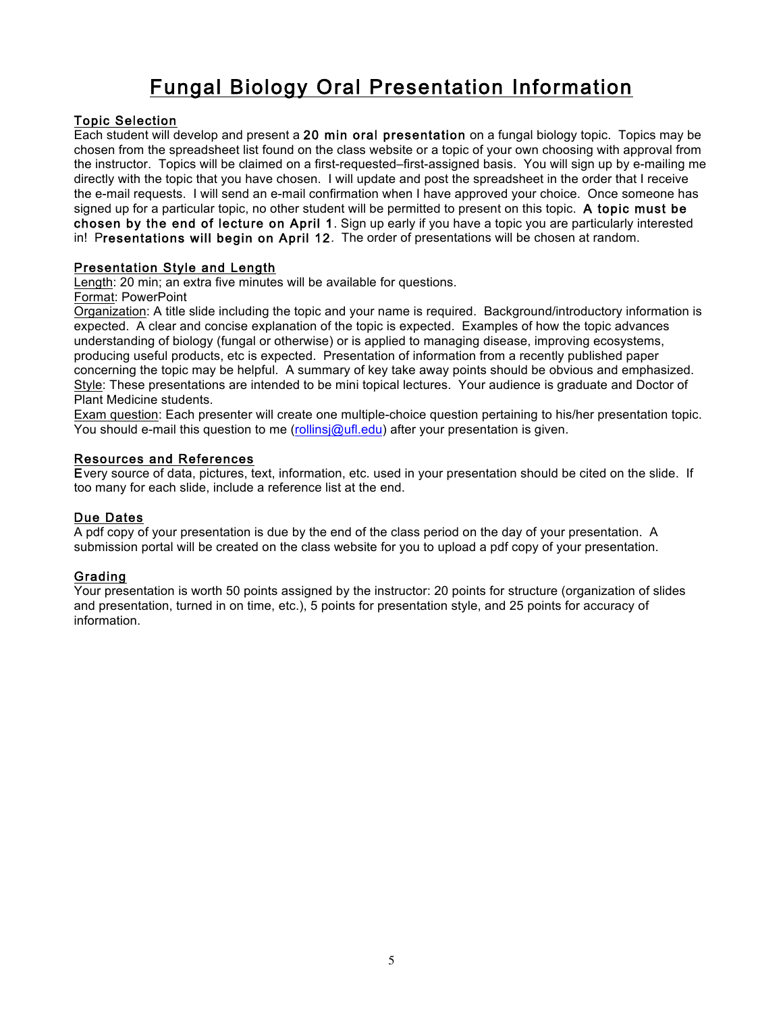# Fungal Biology Oral Presentation Information

# Topic Selection

Each student will develop and present a 20 min oral presentation on a fungal biology topic. Topics may be chosen from the spreadsheet list found on the class website or a topic of your own choosing with approval from the instructor. Topics will be claimed on a first-requested–first-assigned basis. You will sign up by e-mailing me directly with the topic that you have chosen. I will update and post the spreadsheet in the order that I receive the e-mail requests. I will send an e-mail confirmation when I have approved your choice. Once someone has signed up for a particular topic, no other student will be permitted to present on this topic. A topic must be chosen by the end of lecture on April 1. Sign up early if you have a topic you are particularly interested in! Presentations will begin on April 12. The order of presentations will be chosen at random.

# Presentation Style and Length

Length: 20 min; an extra five minutes will be available for questions.

Format: PowerPoint

Organization: A title slide including the topic and your name is required. Background/introductory information is expected. A clear and concise explanation of the topic is expected. Examples of how the topic advances understanding of biology (fungal or otherwise) or is applied to managing disease, improving ecosystems, producing useful products, etc is expected. Presentation of information from a recently published paper concerning the topic may be helpful. A summary of key take away points should be obvious and emphasized. Style: These presentations are intended to be mini topical lectures. Your audience is graduate and Doctor of Plant Medicine students.

Exam question: Each presenter will create one multiple-choice question pertaining to his/her presentation topic. You should e-mail this question to me (rollinsj@ufl.edu) after your presentation is given.

#### Resources and References

Every source of data, pictures, text, information, etc. used in your presentation should be cited on the slide. If too many for each slide, include a reference list at the end.

# Due Dates

A pdf copy of your presentation is due by the end of the class period on the day of your presentation. A submission portal will be created on the class website for you to upload a pdf copy of your presentation.

# Grading

Your presentation is worth 50 points assigned by the instructor: 20 points for structure (organization of slides and presentation, turned in on time, etc.), 5 points for presentation style, and 25 points for accuracy of information.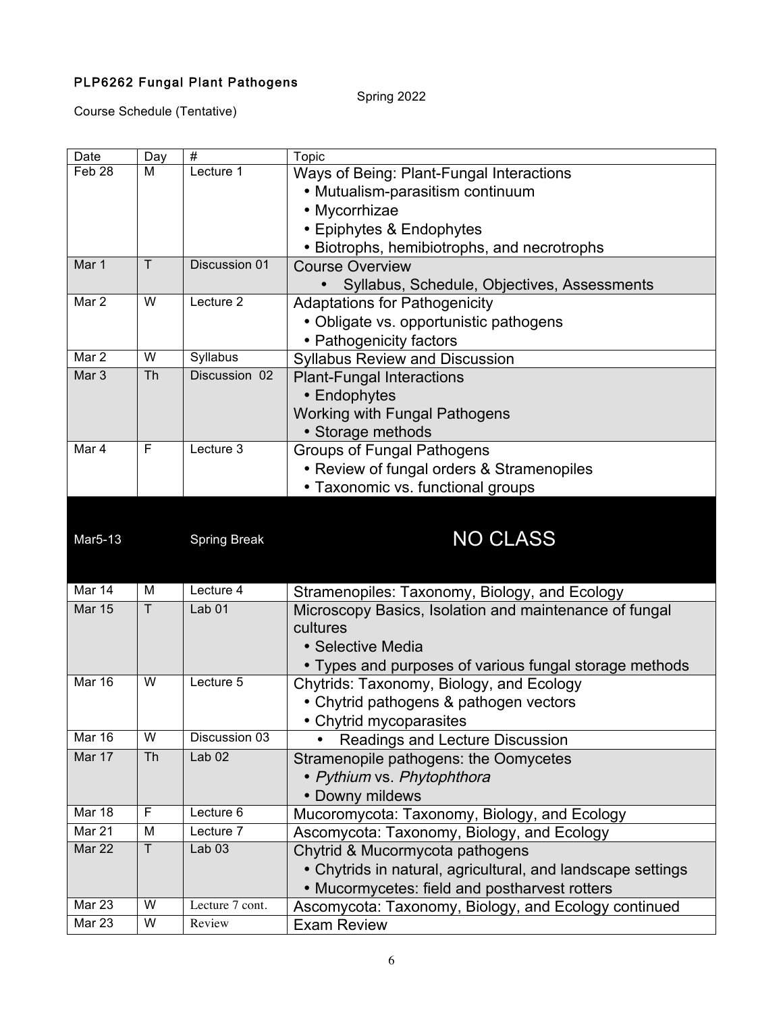# PLP6262 Fungal Plant Pathogens

Spring 2022

Course Schedule (Tentative)

| Date                 | Day            | $\#$                      | <b>Topic</b>                                                               |
|----------------------|----------------|---------------------------|----------------------------------------------------------------------------|
| Feb <sub>28</sub>    | M              | Lecture 1                 | Ways of Being: Plant-Fungal Interactions                                   |
|                      |                |                           | • Mutualism-parasitism continuum                                           |
|                      |                |                           | • Mycorrhizae                                                              |
|                      |                |                           | • Epiphytes & Endophytes                                                   |
|                      |                |                           | • Biotrophs, hemibiotrophs, and necrotrophs                                |
| Mar 1                | T              | Discussion 01             | <b>Course Overview</b>                                                     |
|                      |                |                           | Syllabus, Schedule, Objectives, Assessments                                |
| Mar 2                | W              | Lecture 2                 | <b>Adaptations for Pathogenicity</b>                                       |
|                      |                |                           | • Obligate vs. opportunistic pathogens                                     |
|                      |                |                           | • Pathogenicity factors                                                    |
| Mar 2                | W              | Syllabus                  | <b>Syllabus Review and Discussion</b>                                      |
| Mar <sub>3</sub>     | Th             | Discussion 02             | <b>Plant-Fungal Interactions</b>                                           |
|                      |                |                           | • Endophytes                                                               |
|                      |                |                           | <b>Working with Fungal Pathogens</b>                                       |
|                      |                |                           | • Storage methods                                                          |
| Mar 4                | F              | Lecture 3                 | <b>Groups of Fungal Pathogens</b>                                          |
|                      |                |                           | • Review of fungal orders & Stramenopiles                                  |
|                      |                |                           | • Taxonomic vs. functional groups                                          |
|                      |                |                           |                                                                            |
|                      |                |                           |                                                                            |
| Mar <sub>5</sub> -13 |                | <b>Spring Break</b>       | <b>NO CLASS</b>                                                            |
|                      |                |                           |                                                                            |
|                      |                |                           |                                                                            |
|                      |                |                           |                                                                            |
| Mar 14               | M              | Lecture 4                 | Stramenopiles: Taxonomy, Biology, and Ecology                              |
| <b>Mar 15</b>        | $\overline{T}$ | Lab <sub>01</sub>         | Microscopy Basics, Isolation and maintenance of fungal                     |
|                      |                |                           | cultures                                                                   |
|                      |                |                           | • Selective Media                                                          |
|                      |                |                           | • Types and purposes of various fungal storage methods                     |
| <b>Mar 16</b>        | W              | Lecture 5                 | Chytrids: Taxonomy, Biology, and Ecology                                   |
|                      |                |                           | • Chytrid pathogens & pathogen vectors                                     |
|                      |                |                           | • Chytrid mycoparasites                                                    |
| Mar 16               | W              | Discussion 03             | <b>Readings and Lecture Discussion</b>                                     |
| Mar 17               | Th             | Lab <sub>02</sub>         | Stramenopile pathogens: the Oomycetes                                      |
|                      |                |                           | • Pythium vs. Phytophthora                                                 |
|                      |                |                           | • Downy mildews                                                            |
| Mar 18               | F              | Lecture 6                 | Mucoromycota: Taxonomy, Biology, and Ecology                               |
| Mar 21               | M              | Lecture 7                 | Ascomycota: Taxonomy, Biology, and Ecology                                 |
| Mar 22               | T              | Lab <sub>03</sub>         | Chytrid & Mucormycota pathogens                                            |
|                      |                |                           | • Chytrids in natural, agricultural, and landscape settings                |
|                      |                |                           | • Mucormycetes: field and postharvest rotters                              |
| Mar 23<br>Mar 23     | W<br>W         | Lecture 7 cont.<br>Review | Ascomycota: Taxonomy, Biology, and Ecology continued<br><b>Exam Review</b> |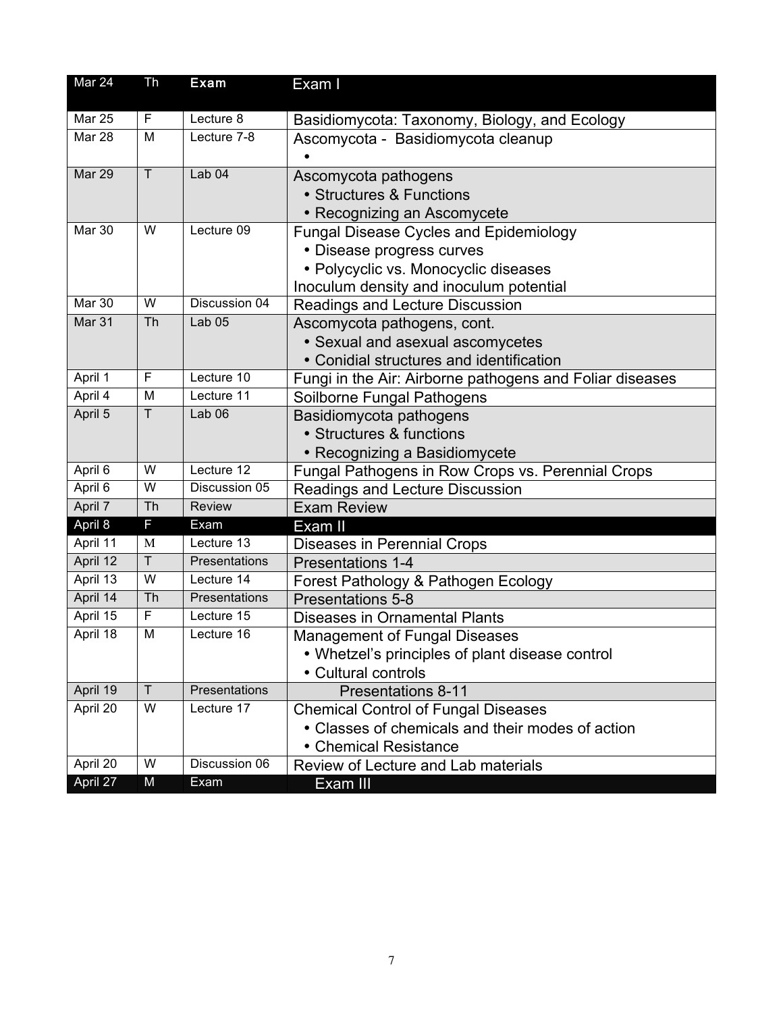| Mar 24        | Th             | Exam              | Exam I                                                   |
|---------------|----------------|-------------------|----------------------------------------------------------|
| Mar 25        | F              | Lecture 8         | Basidiomycota: Taxonomy, Biology, and Ecology            |
| Mar 28        | M              | Lecture 7-8       | Ascomycota - Basidiomycota cleanup                       |
| Mar 29        | $\overline{T}$ | Lab <sub>04</sub> | Ascomycota pathogens                                     |
|               |                |                   | • Structures & Functions                                 |
|               |                |                   | • Recognizing an Ascomycete                              |
| Mar 30        | W              | Lecture 09        | <b>Fungal Disease Cycles and Epidemiology</b>            |
|               |                |                   | • Disease progress curves                                |
|               |                |                   | • Polycyclic vs. Monocyclic diseases                     |
|               |                |                   | Inoculum density and inoculum potential                  |
| <b>Mar 30</b> | W              | Discussion 04     | Readings and Lecture Discussion                          |
| Mar 31        | Th             | Lab <sub>05</sub> | Ascomycota pathogens, cont.                              |
|               |                |                   | • Sexual and asexual ascomycetes                         |
|               |                |                   | • Conidial structures and identification                 |
| April 1       | F              | Lecture 10        | Fungi in the Air: Airborne pathogens and Foliar diseases |
| April 4       | M              | Lecture 11        | Soilborne Fungal Pathogens                               |
| April 5       | $\mathsf T$    | Lab <sub>06</sub> | Basidiomycota pathogens                                  |
|               |                |                   | • Structures & functions                                 |
|               |                |                   | • Recognizing a Basidiomycete                            |
| April 6       | W              | Lecture 12        | Fungal Pathogens in Row Crops vs. Perennial Crops        |
| April 6       | W              | Discussion 05     | Readings and Lecture Discussion                          |
| April 7       | Th             | <b>Review</b>     | <b>Exam Review</b>                                       |
| April 8       | F              | Exam              | Exam II                                                  |
| April 11      | M              | Lecture $13$      | Diseases in Perennial Crops                              |
| April 12      | $\mathsf T$    | Presentations     | <b>Presentations 1-4</b>                                 |
| April 13      | W              | Lecture 14        | Forest Pathology & Pathogen Ecology                      |
| April 14      | Th             | Presentations     | <b>Presentations 5-8</b>                                 |
| April 15      | F              | Lecture 15        | <b>Diseases in Ornamental Plants</b>                     |
| April 18      | M              | Lecture 16        | <b>Management of Fungal Diseases</b>                     |
|               |                |                   | • Whetzel's principles of plant disease control          |
|               |                |                   | • Cultural controls                                      |
| April 19      | $\overline{T}$ | Presentations     | <b>Presentations 8-11</b>                                |
| April 20      | W              | Lecture 17        | <b>Chemical Control of Fungal Diseases</b>               |
|               |                |                   | • Classes of chemicals and their modes of action         |
|               |                |                   | • Chemical Resistance                                    |
| April 20      | W              | Discussion 06     | Review of Lecture and Lab materials                      |
| April 27      | M              | Exam              | Exam III                                                 |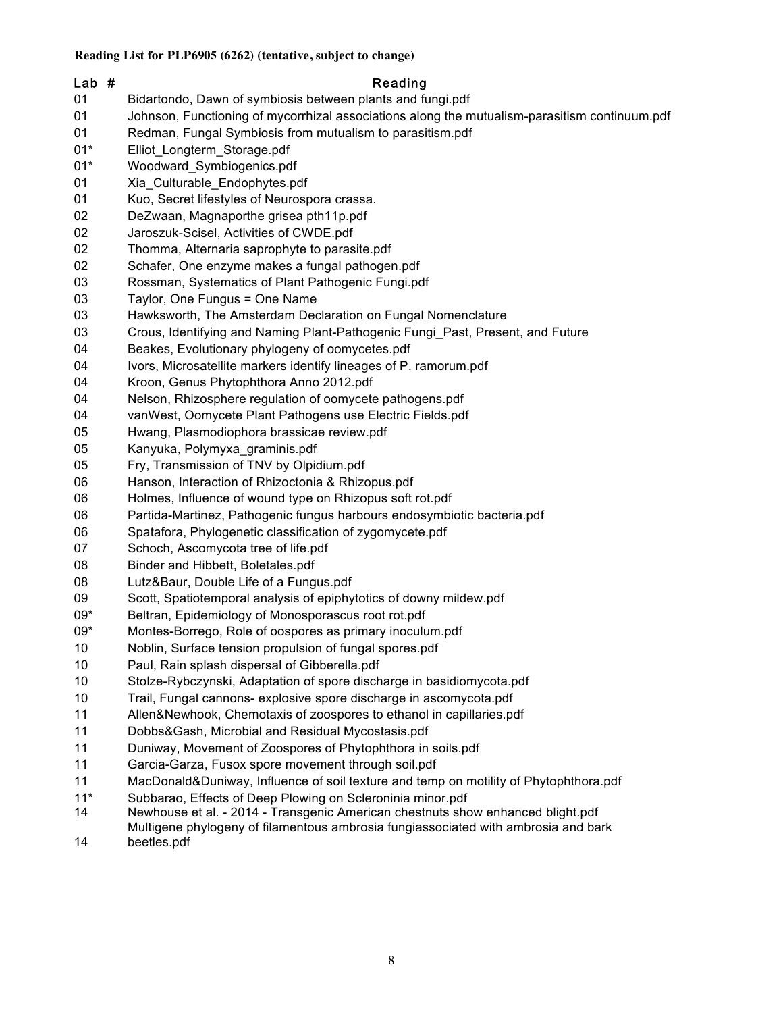# Lab # Reading Bidartondo, Dawn of symbiosis between plants and fungi.pdf Johnson, Functioning of mycorrhizal associations along the mutualism-parasitism continuum.pdf Redman, Fungal Symbiosis from mutualism to parasitism.pdf 01\* Elliot Longterm Storage.pdf 01\* Woodward Symbiogenics.pdf 01 Xia Culturable Endophytes.pdf Kuo, Secret lifestyles of Neurospora crassa. DeZwaan, Magnaporthe grisea pth11p.pdf Jaroszuk-Scisel, Activities of CWDE.pdf Thomma, Alternaria saprophyte to parasite.pdf Schafer, One enzyme makes a fungal pathogen.pdf Rossman, Systematics of Plant Pathogenic Fungi.pdf Taylor, One Fungus = One Name Hawksworth, The Amsterdam Declaration on Fungal Nomenclature Crous, Identifying and Naming Plant-Pathogenic Fungi\_Past, Present, and Future Beakes, Evolutionary phylogeny of oomycetes.pdf Ivors, Microsatellite markers identify lineages of P. ramorum.pdf Kroon, Genus Phytophthora Anno 2012.pdf Nelson, Rhizosphere regulation of oomycete pathogens.pdf vanWest, Oomycete Plant Pathogens use Electric Fields.pdf Hwang, Plasmodiophora brassicae review.pdf Kanyuka, Polymyxa\_graminis.pdf Fry, Transmission of TNV by Olpidium.pdf Hanson, Interaction of Rhizoctonia & Rhizopus.pdf Holmes, Influence of wound type on Rhizopus soft rot.pdf Partida-Martinez, Pathogenic fungus harbours endosymbiotic bacteria.pdf Spatafora, Phylogenetic classification of zygomycete.pdf Schoch, Ascomycota tree of life.pdf Binder and Hibbett, Boletales.pdf Lutz&Baur, Double Life of a Fungus.pdf Scott, Spatiotemporal analysis of epiphytotics of downy mildew.pdf 09\* Beltran, Epidemiology of Monosporascus root rot.pdf 09\* Montes-Borrego, Role of oospores as primary inoculum.pdf Noblin, Surface tension propulsion of fungal spores.pdf Paul, Rain splash dispersal of Gibberella.pdf Stolze-Rybczynski, Adaptation of spore discharge in basidiomycota.pdf Trail, Fungal cannons- explosive spore discharge in ascomycota.pdf Allen&Newhook, Chemotaxis of zoospores to ethanol in capillaries.pdf Dobbs&Gash, Microbial and Residual Mycostasis.pdf Duniway, Movement of Zoospores of Phytophthora in soils.pdf Garcia-Garza, Fusox spore movement through soil.pdf MacDonald&Duniway, Influence of soil texture and temp on motility of Phytophthora.pdf 11\* Subbarao, Effects of Deep Plowing on Scleroninia minor.pdf Newhouse et al. - 2014 - Transgenic American chestnuts show enhanced blight.pdf

 Multigene phylogeny of filamentous ambrosia fungiassociated with ambrosia and bark beetles.pdf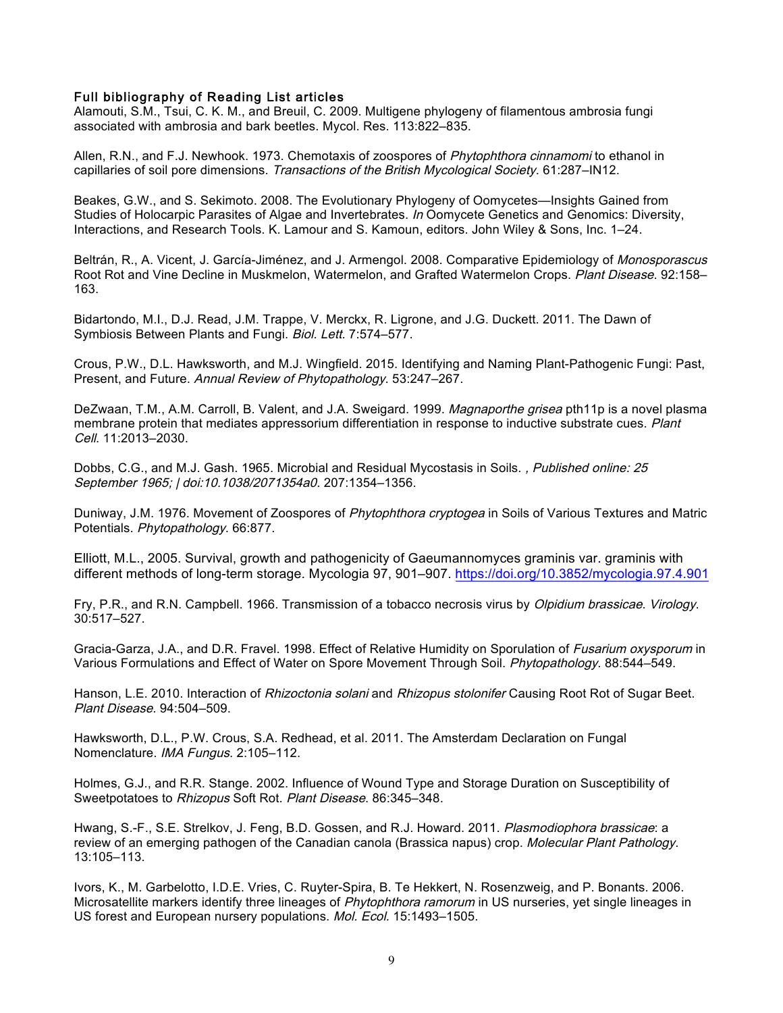#### Full bibliography of Reading List articles

Alamouti, S.M., Tsui, C. K. M., and Breuil, C. 2009. Multigene phylogeny of filamentous ambrosia fungi associated with ambrosia and bark beetles. Mycol. Res. 113:822–835.

Allen, R.N., and F.J. Newhook. 1973. Chemotaxis of zoospores of Phytophthora cinnamomi to ethanol in capillaries of soil pore dimensions. Transactions of the British Mycological Society. 61:287–IN12.

Beakes, G.W., and S. Sekimoto. 2008. The Evolutionary Phylogeny of Oomycetes—Insights Gained from Studies of Holocarpic Parasites of Algae and Invertebrates. In Oomycete Genetics and Genomics: Diversity, Interactions, and Research Tools. K. Lamour and S. Kamoun, editors. John Wiley & Sons, Inc. 1–24.

Beltrán, R., A. Vicent, J. García-Jiménez, and J. Armengol. 2008. Comparative Epidemiology of Monosporascus Root Rot and Vine Decline in Muskmelon, Watermelon, and Grafted Watermelon Crops. Plant Disease. 92:158-163.

Bidartondo, M.I., D.J. Read, J.M. Trappe, V. Merckx, R. Ligrone, and J.G. Duckett. 2011. The Dawn of Symbiosis Between Plants and Fungi. Biol. Lett. 7:574–577.

Crous, P.W., D.L. Hawksworth, and M.J. Wingfield. 2015. Identifying and Naming Plant-Pathogenic Fungi: Past, Present, and Future. Annual Review of Phytopathology. 53:247–267.

DeZwaan, T.M., A.M. Carroll, B. Valent, and J.A. Sweigard. 1999. Magnaporthe grisea pth11p is a novel plasma membrane protein that mediates appressorium differentiation in response to inductive substrate cues. Plant Cell. 11:2013–2030.

Dobbs, C.G., and M.J. Gash. 1965. Microbial and Residual Mycostasis in Soils. , Published online: 25 September 1965; | doi:10.1038/2071354a0. 207:1354–1356.

Duniway, J.M. 1976. Movement of Zoospores of Phytophthora cryptogea in Soils of Various Textures and Matric Potentials. Phytopathology. 66:877.

Elliott, M.L., 2005. Survival, growth and pathogenicity of Gaeumannomyces graminis var. graminis with different methods of long-term storage. Mycologia 97, 901–907. https://doi.org/10.3852/mycologia.97.4.901

Fry, P.R., and R.N. Campbell. 1966. Transmission of a tobacco necrosis virus by Olpidium brassicae. Virology. 30:517–527.

Gracia-Garza, J.A., and D.R. Fravel. 1998. Effect of Relative Humidity on Sporulation of *Fusarium oxysporum* in Various Formulations and Effect of Water on Spore Movement Through Soil. Phytopathology. 88:544–549.

Hanson, L.E. 2010. Interaction of *Rhizoctonia solani* and *Rhizopus stolonifer* Causing Root Rot of Sugar Beet. Plant Disease. 94:504–509.

Hawksworth, D.L., P.W. Crous, S.A. Redhead, et al. 2011. The Amsterdam Declaration on Fungal Nomenclature. IMA Fungus. 2:105–112.

Holmes, G.J., and R.R. Stange. 2002. Influence of Wound Type and Storage Duration on Susceptibility of Sweetpotatoes to Rhizopus Soft Rot. Plant Disease. 86:345–348.

Hwang, S.-F., S.E. Strelkov, J. Feng, B.D. Gossen, and R.J. Howard. 2011. Plasmodiophora brassicae: a review of an emerging pathogen of the Canadian canola (Brassica napus) crop. Molecular Plant Pathology. 13:105–113.

Ivors, K., M. Garbelotto, I.D.E. Vries, C. Ruyter-Spira, B. Te Hekkert, N. Rosenzweig, and P. Bonants. 2006. Microsatellite markers identify three lineages of Phytophthora ramorum in US nurseries, yet single lineages in US forest and European nursery populations. Mol. Ecol. 15:1493–1505.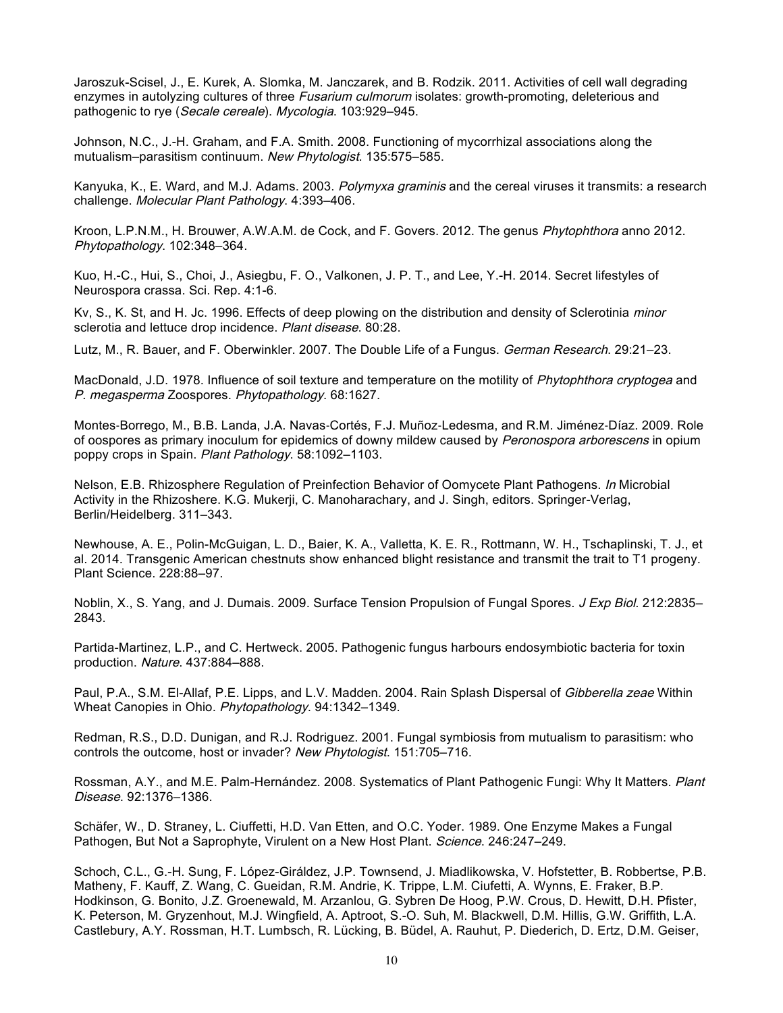Jaroszuk-Scisel, J., E. Kurek, A. Slomka, M. Janczarek, and B. Rodzik. 2011. Activities of cell wall degrading enzymes in autolyzing cultures of three Fusarium culmorum isolates: growth-promoting, deleterious and pathogenic to rye (Secale cereale). Mycologia. 103:929–945.

Johnson, N.C., J.-H. Graham, and F.A. Smith. 2008. Functioning of mycorrhizal associations along the mutualism–parasitism continuum. New Phytologist. 135:575–585.

Kanyuka, K., E. Ward, and M.J. Adams. 2003. Polymyxa graminis and the cereal viruses it transmits: a research challenge. Molecular Plant Pathology. 4:393–406.

Kroon, L.P.N.M., H. Brouwer, A.W.A.M. de Cock, and F. Govers. 2012. The genus Phytophthora anno 2012. Phytopathology. 102:348–364.

Kuo, H.-C., Hui, S., Choi, J., Asiegbu, F. O., Valkonen, J. P. T., and Lee, Y.-H. 2014. Secret lifestyles of Neurospora crassa. Sci. Rep. 4:1-6.

Kv, S., K. St, and H. Jc. 1996. Effects of deep plowing on the distribution and density of Sclerotinia *minor* sclerotia and lettuce drop incidence. Plant disease. 80:28.

Lutz, M., R. Bauer, and F. Oberwinkler. 2007. The Double Life of a Fungus. German Research. 29:21–23.

MacDonald, J.D. 1978. Influence of soil texture and temperature on the motility of Phytophthora cryptogea and P. megasperma Zoospores. Phytopathology. 68:1627.

Montes‐Borrego, M., B.B. Landa, J.A. Navas‐Cortés, F.J. Muñoz‐Ledesma, and R.M. Jiménez‐Díaz. 2009. Role of oospores as primary inoculum for epidemics of downy mildew caused by Peronospora arborescens in opium poppy crops in Spain. Plant Pathology. 58:1092–1103.

Nelson, E.B. Rhizosphere Regulation of Preinfection Behavior of Oomycete Plant Pathogens. In Microbial Activity in the Rhizoshere. K.G. Mukerji, C. Manoharachary, and J. Singh, editors. Springer-Verlag, Berlin/Heidelberg. 311–343.

Newhouse, A. E., Polin-McGuigan, L. D., Baier, K. A., Valletta, K. E. R., Rottmann, W. H., Tschaplinski, T. J., et al. 2014. Transgenic American chestnuts show enhanced blight resistance and transmit the trait to T1 progeny. Plant Science. 228:88–97.

Noblin, X., S. Yang, and J. Dumais. 2009. Surface Tension Propulsion of Fungal Spores. J Exp Biol. 212:2835– 2843.

Partida-Martinez, L.P., and C. Hertweck. 2005. Pathogenic fungus harbours endosymbiotic bacteria for toxin production. Nature. 437:884–888.

Paul, P.A., S.M. El-Allaf, P.E. Lipps, and L.V. Madden. 2004. Rain Splash Dispersal of Gibberella zeae Within Wheat Canopies in Ohio. Phytopathology. 94:1342–1349.

Redman, R.S., D.D. Dunigan, and R.J. Rodriguez. 2001. Fungal symbiosis from mutualism to parasitism: who controls the outcome, host or invader? New Phytologist. 151:705–716.

Rossman, A.Y., and M.E. Palm-Hernández. 2008. Systematics of Plant Pathogenic Fungi: Why It Matters. Plant Disease. 92:1376–1386.

Schäfer, W., D. Straney, L. Ciuffetti, H.D. Van Etten, and O.C. Yoder. 1989. One Enzyme Makes a Fungal Pathogen, But Not a Saprophyte, Virulent on a New Host Plant. Science. 246:247–249.

Schoch, C.L., G.-H. Sung, F. López-Giráldez, J.P. Townsend, J. Miadlikowska, V. Hofstetter, B. Robbertse, P.B. Matheny, F. Kauff, Z. Wang, C. Gueidan, R.M. Andrie, K. Trippe, L.M. Ciufetti, A. Wynns, E. Fraker, B.P. Hodkinson, G. Bonito, J.Z. Groenewald, M. Arzanlou, G. Sybren De Hoog, P.W. Crous, D. Hewitt, D.H. Pfister, K. Peterson, M. Gryzenhout, M.J. Wingfield, A. Aptroot, S.-O. Suh, M. Blackwell, D.M. Hillis, G.W. Griffith, L.A. Castlebury, A.Y. Rossman, H.T. Lumbsch, R. Lücking, B. Büdel, A. Rauhut, P. Diederich, D. Ertz, D.M. Geiser,